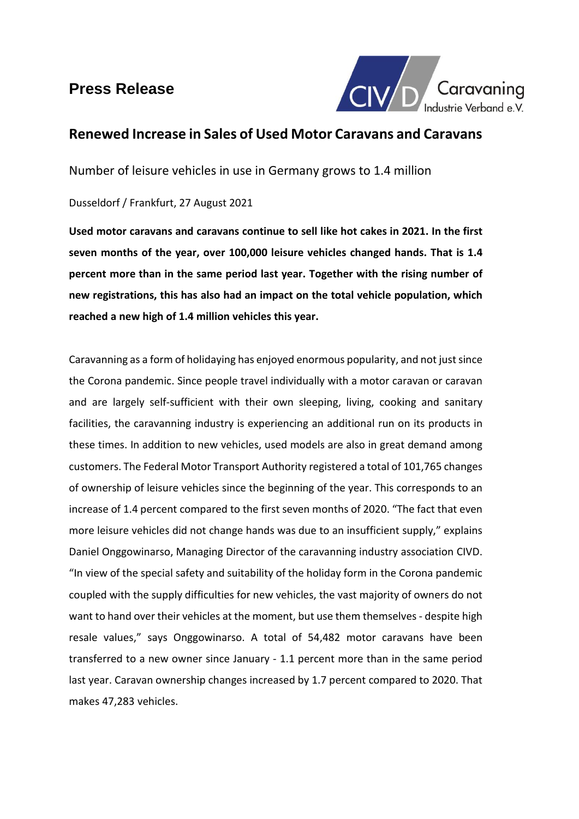# **Press Release**



## **Renewed Increase in Sales of Used Motor Caravans and Caravans**

Number of leisure vehicles in use in Germany grows to 1.4 million

## Dusseldorf / Frankfurt, 27 August 2021

**Used motor caravans and caravans continue to sell like hot cakes in 2021. In the first seven months of the year, over 100,000 leisure vehicles changed hands. That is 1.4 percent more than in the same period last year. Together with the rising number of new registrations, this has also had an impact on the total vehicle population, which reached a new high of 1.4 million vehicles this year.** 

Caravanning as a form of holidaying has enjoyed enormous popularity, and not justsince the Corona pandemic. Since people travel individually with a motor caravan or caravan and are largely self-sufficient with their own sleeping, living, cooking and sanitary facilities, the caravanning industry is experiencing an additional run on its products in these times. In addition to new vehicles, used models are also in great demand among customers. The Federal Motor Transport Authority registered a total of 101,765 changes of ownership of leisure vehicles since the beginning of the year. This corresponds to an increase of 1.4 percent compared to the first seven months of 2020. "The fact that even more leisure vehicles did not change hands was due to an insufficient supply," explains Daniel Onggowinarso, Managing Director of the caravanning industry association CIVD. "In view of the special safety and suitability of the holiday form in the Corona pandemic coupled with the supply difficulties for new vehicles, the vast majority of owners do not want to hand over their vehicles at the moment, but use them themselves- despite high resale values," says Onggowinarso. A total of 54,482 motor caravans have been transferred to a new owner since January - 1.1 percent more than in the same period last year. Caravan ownership changes increased by 1.7 percent compared to 2020. That makes 47,283 vehicles.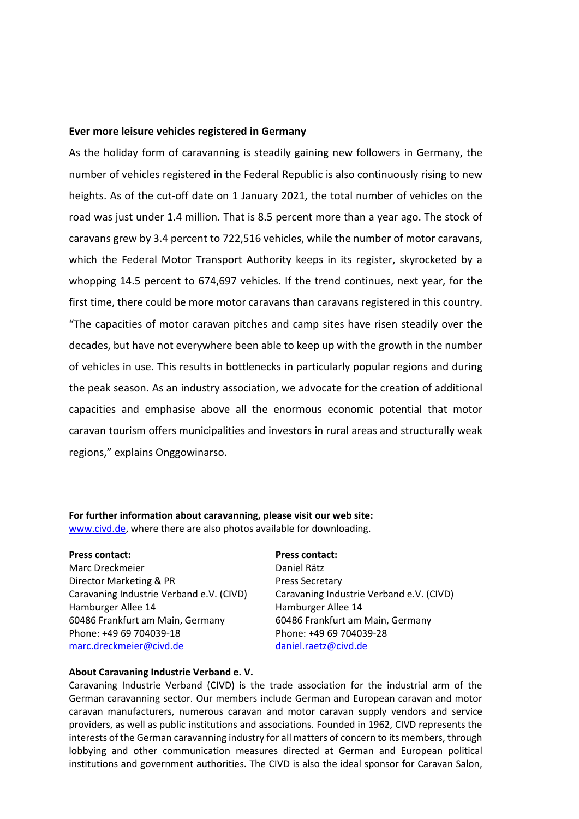### **Ever more leisure vehicles registered in Germany**

As the holiday form of caravanning is steadily gaining new followers in Germany, the number of vehicles registered in the Federal Republic is also continuously rising to new heights. As of the cut-off date on 1 January 2021, the total number of vehicles on the road was just under 1.4 million. That is 8.5 percent more than a year ago. The stock of caravans grew by 3.4 percent to 722,516 vehicles, while the number of motor caravans, which the Federal Motor Transport Authority keeps in its register, skyrocketed by a whopping 14.5 percent to 674,697 vehicles. If the trend continues, next year, for the first time, there could be more motor caravans than caravans registered in this country. "The capacities of motor caravan pitches and camp sites have risen steadily over the decades, but have not everywhere been able to keep up with the growth in the number of vehicles in use. This results in bottlenecks in particularly popular regions and during the peak season. As an industry association, we advocate for the creation of additional capacities and emphasise above all the enormous economic potential that motor caravan tourism offers municipalities and investors in rural areas and structurally weak regions," explains Onggowinarso.

**For further information about caravanning, please visit our web site:** [www.civd.de,](http://www.civd.de/) where there are also photos available for downloading.

**Press contact: Press contact:** Marc Dreckmeier Daniel Rätz Director Marketing & PR Press Secretary Hamburger Allee 14 Hamburger Allee 14 60486 Frankfurt am Main, Germany 60486 Frankfurt am Main, Germany Phone: +49 69 704039-18 Phone: +49 69 704039-28 [marc.dreckmeier@civd.de](mailto:marc.dreckmeier@civd.de) [daniel.raetz@civd.de](mailto:daniel.raetz@civd.de)

Caravaning Industrie Verband e.V. (CIVD) Caravaning Industrie Verband e.V. (CIVD)

#### **About Caravaning Industrie Verband e. V.**

Caravaning Industrie Verband (CIVD) is the trade association for the industrial arm of the German caravanning sector. Our members include German and European caravan and motor caravan manufacturers, numerous caravan and motor caravan supply vendors and service providers, as well as public institutions and associations. Founded in 1962, CIVD represents the interests of the German caravanning industry for all matters of concern to its members, through lobbying and other communication measures directed at German and European political institutions and government authorities. The CIVD is also the ideal sponsor for Caravan Salon,